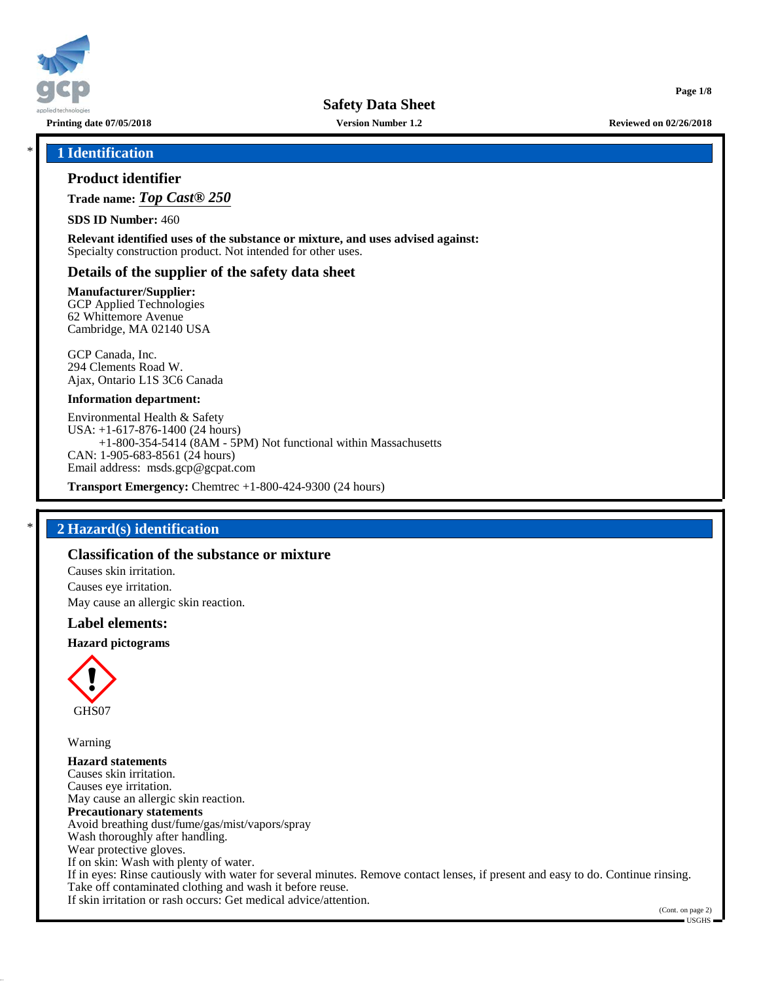

**Printing date 07/05/2018 Version Number 1.2 Reviewed on 02/26/2018**

**Page 1/8**

# \* **1 Identification**

# **Product identifier**

**Trade name:** *Top Cast® 250*

**SDS ID Number:** 460

**Relevant identified uses of the substance or mixture, and uses advised against:** Specialty construction product. Not intended for other uses.

### **Details of the supplier of the safety data sheet**

#### **Manufacturer/Supplier:**

GCP Applied Technologies 62 Whittemore Avenue Cambridge, MA 02140 USA

GCP Canada, Inc. 294 Clements Road W. Ajax, Ontario L1S 3C6 Canada

#### **Information department:**

Environmental Health & Safety USA: +1-617-876-1400 (24 hours) +1-800-354-5414 (8AM - 5PM) Not functional within Massachusetts CAN: 1-905-683-8561 (24 hours) Email address: msds.gcp@gcpat.com

**Transport Emergency:** Chemtrec +1-800-424-9300 (24 hours)

## \* **2 Hazard(s) identification**

# **Classification of the substance or mixture**

Causes skin irritation. Causes eye irritation. May cause an allergic skin reaction.

### **Label elements:**

#### **Hazard pictograms**



Warning

**Hazard statements** Causes skin irritation. Causes eye irritation. May cause an allergic skin reaction. **Precautionary statements** Avoid breathing dust/fume/gas/mist/vapors/spray Wash thoroughly after handling. Wear protective gloves. If on skin: Wash with plenty of water. If in eyes: Rinse cautiously with water for several minutes. Remove contact lenses, if present and easy to do. Continue rinsing. Take off contaminated clothing and wash it before reuse. If skin irritation or rash occurs: Get medical advice/attention.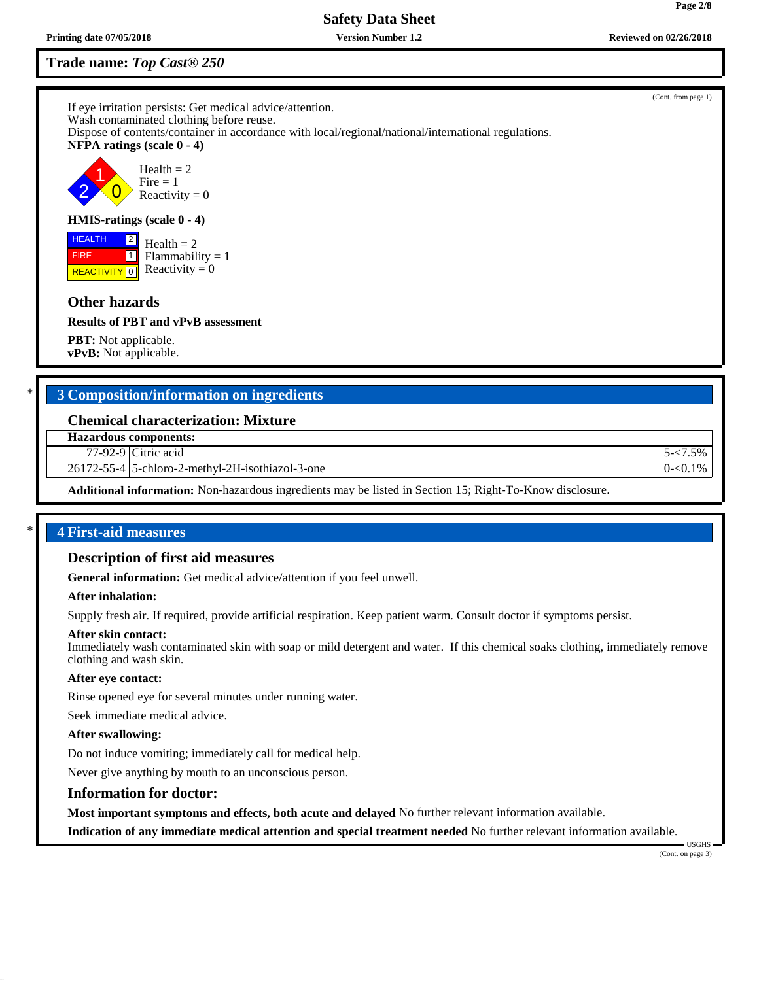# **Trade name:** *Top Cast® 250*

If eye irritation persists: Get medical advice/attention. Wash contaminated clothing before reuse. Dispose of contents/container in accordance with local/regional/national/international regulations. **NFPA ratings (scale 0 - 4)** 2 1  $\overline{0}$  $Health = 2$  $Fire = 1$ Reactivity  $= 0$ **HMIS-ratings (scale 0 - 4)**

**REACTIVITY** 0 2  $\Box$  $Health = 2$  $Flammability = 1$ Reactivity  $= 0$ 

# **Other hazards**

 HEALTH FIRE

**Results of PBT and vPvB assessment**

**PBT:** Not applicable. **vPvB:** Not applicable.

# \* **3 Composition/information on ingredients**

# **Chemical characterization: Mixture**

**Hazardous components:**

77-92-9 Citric acid 5-<7.5%

26172-55-4 5-chloro-2-methyl-2H-isothiazol-3-one 0-<0.1%

**Additional information:** Non-hazardous ingredients may be listed in Section 15; Right-To-Know disclosure.

# \* **4 First-aid measures**

### **Description of first aid measures**

**General information:** Get medical advice/attention if you feel unwell.

### **After inhalation:**

Supply fresh air. If required, provide artificial respiration. Keep patient warm. Consult doctor if symptoms persist.

#### **After skin contact:**

Immediately wash contaminated skin with soap or mild detergent and water. If this chemical soaks clothing, immediately remove clothing and wash skin.

### **After eye contact:**

Rinse opened eye for several minutes under running water.

Seek immediate medical advice.

### **After swallowing:**

Do not induce vomiting; immediately call for medical help.

Never give anything by mouth to an unconscious person.

### **Information for doctor:**

**Most important symptoms and effects, both acute and delayed** No further relevant information available.

**Indication of any immediate medical attention and special treatment needed** No further relevant information available.

 USGHS (Cont. on page 3)

(Cont. from page 1)

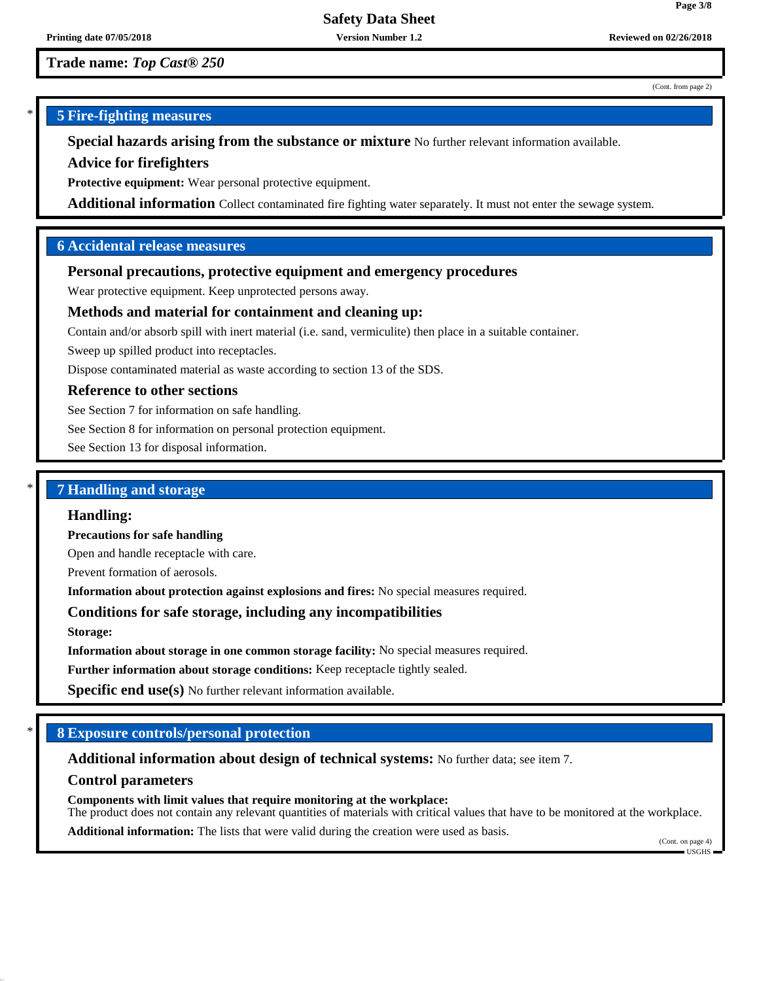**Trade name:** *Top Cast® 250*

#### (Cont. from page 2)

**Page 3/8**

# \* **5 Fire-fighting measures**

**Special hazards arising from the substance or mixture** No further relevant information available.

### **Advice for firefighters**

**Protective equipment:** Wear personal protective equipment.

**Additional information** Collect contaminated fire fighting water separately. It must not enter the sewage system.

# **6 Accidental release measures**

# **Personal precautions, protective equipment and emergency procedures**

Wear protective equipment. Keep unprotected persons away.

### **Methods and material for containment and cleaning up:**

Contain and/or absorb spill with inert material (i.e. sand, vermiculite) then place in a suitable container.

Sweep up spilled product into receptacles.

Dispose contaminated material as waste according to section 13 of the SDS.

# **Reference to other sections**

See Section 7 for information on safe handling.

See Section 8 for information on personal protection equipment.

See Section 13 for disposal information.

# \* **7 Handling and storage**

### **Handling:**

**Precautions for safe handling**

Open and handle receptacle with care.

Prevent formation of aerosols.

**Information about protection against explosions and fires:** No special measures required.

# **Conditions for safe storage, including any incompatibilities**

**Storage:**

**Information about storage in one common storage facility:** No special measures required.

**Further information about storage conditions:** Keep receptacle tightly sealed.

**Specific end use(s)** No further relevant information available.

# \* **8 Exposure controls/personal protection**

**Additional information about design of technical systems:** No further data; see item 7.

**Control parameters**

**Components with limit values that require monitoring at the workplace:** The product does not contain any relevant quantities of materials with critical values that have to be monitored at the workplace. **Additional information:** The lists that were valid during the creation were used as basis.

(Cont. on page 4)  $\blacksquare$  USGHS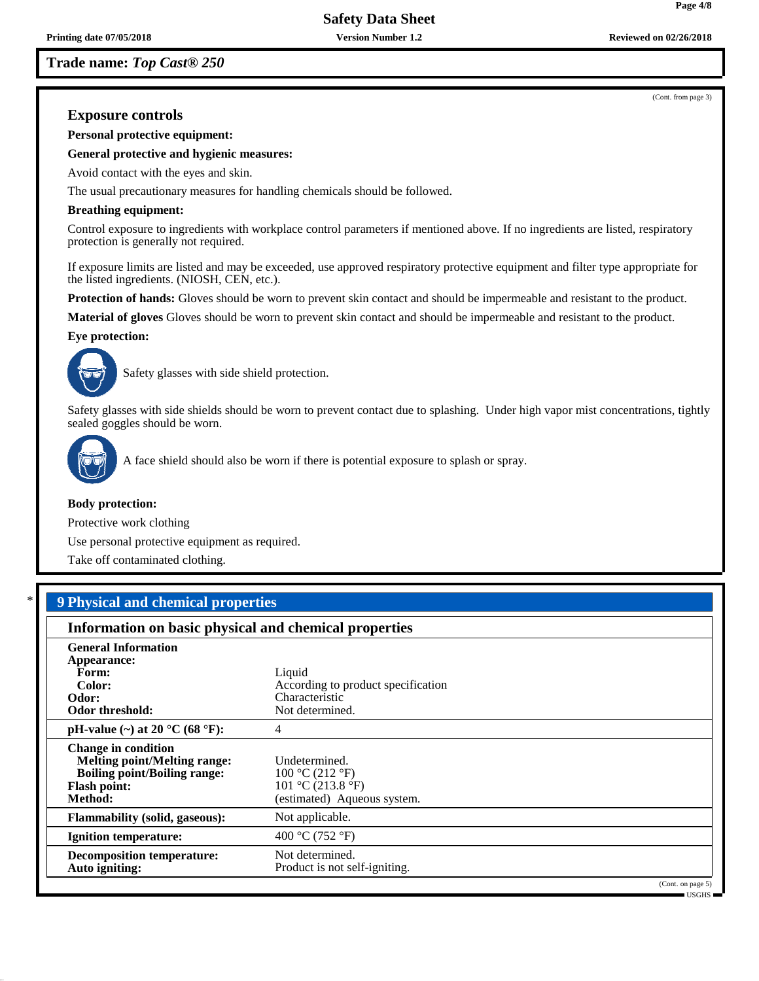# **Trade name:** *Top Cast® 250*

(Cont. from page 3)

**Page 4/8**

# **Exposure controls**

**Personal protective equipment:**

**General protective and hygienic measures:**

Avoid contact with the eyes and skin.

The usual precautionary measures for handling chemicals should be followed.

#### **Breathing equipment:**

Control exposure to ingredients with workplace control parameters if mentioned above. If no ingredients are listed, respiratory protection is generally not required.

If exposure limits are listed and may be exceeded, use approved respiratory protective equipment and filter type appropriate for the listed ingredients. (NIOSH, CEN, etc.).

**Protection of hands:** Gloves should be worn to prevent skin contact and should be impermeable and resistant to the product.

**Material of gloves** Gloves should be worn to prevent skin contact and should be impermeable and resistant to the product.

#### **Eye protection:**



Safety glasses with side shield protection.

Safety glasses with side shields should be worn to prevent contact due to splashing. Under high vapor mist concentrations, tightly sealed goggles should be worn.



A face shield should also be worn if there is potential exposure to splash or spray.

#### **Body protection:**

Protective work clothing

Use personal protective equipment as required.

Take off contaminated clothing.

# \* **9 Physical and chemical properties**

| Information on basic physical and chemical properties                                                                                      |                                                                                      |  |
|--------------------------------------------------------------------------------------------------------------------------------------------|--------------------------------------------------------------------------------------|--|
| <b>General Information</b><br>Appearance:                                                                                                  |                                                                                      |  |
| Form:                                                                                                                                      | Liquid                                                                               |  |
| Color:                                                                                                                                     | According to product specification                                                   |  |
| Odor:                                                                                                                                      | Characteristic                                                                       |  |
| <b>Odor threshold:</b>                                                                                                                     | Not determined.                                                                      |  |
| pH-value $(\sim)$ at 20 °C (68 °F):                                                                                                        | 4                                                                                    |  |
| <b>Change in condition</b><br><b>Melting point/Melting range:</b><br><b>Boiling point/Boiling range:</b><br><b>Flash point:</b><br>Method: | Undetermined.<br>100 °C (212 °F)<br>101 °C (213.8 °F)<br>(estimated) Aqueous system. |  |
| <b>Flammability (solid, gaseous):</b>                                                                                                      | Not applicable.                                                                      |  |
| <b>Ignition temperature:</b>                                                                                                               | 400 °C (752 °F)                                                                      |  |
| <b>Decomposition temperature:</b><br>Auto igniting:                                                                                        | Not determined.<br>Product is not self-igniting.                                     |  |
|                                                                                                                                            | (Cont. on page 5)<br>$-$ USGHS $-$                                                   |  |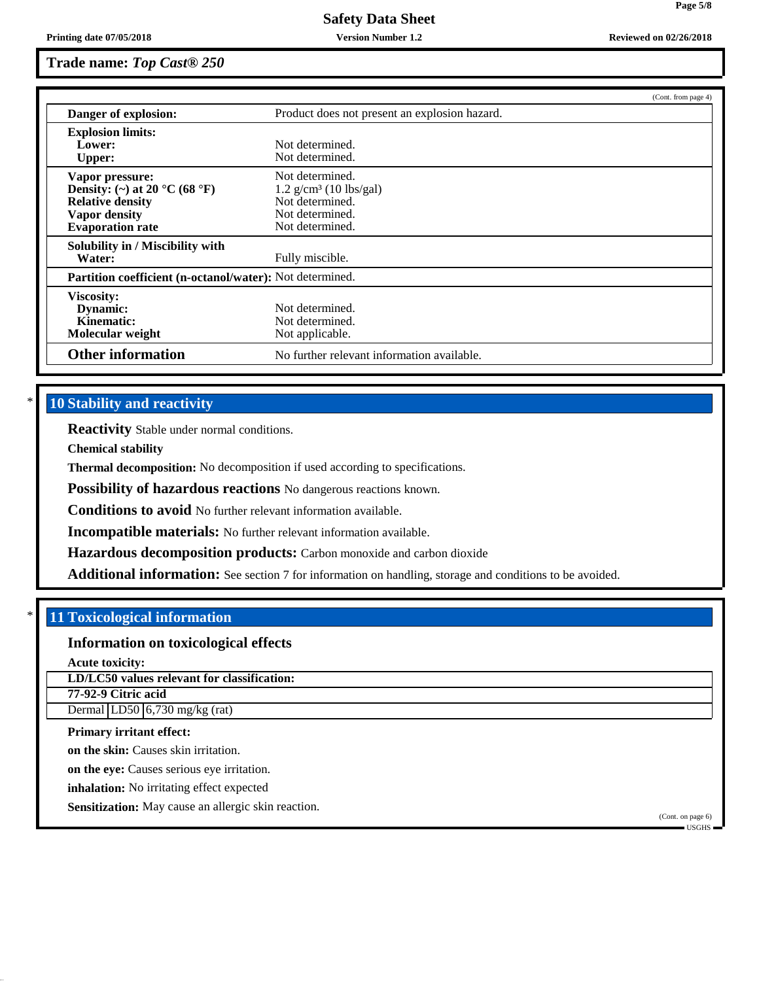# **Trade name:** *Top Cast® 250*

|                                                          |                                               | (Cont. from page 4) |
|----------------------------------------------------------|-----------------------------------------------|---------------------|
| Danger of explosion:                                     | Product does not present an explosion hazard. |                     |
| <b>Explosion limits:</b>                                 |                                               |                     |
| Lower:                                                   | Not determined.                               |                     |
| <b>Upper:</b>                                            | Not determined.                               |                     |
| Vapor pressure:                                          | Not determined.                               |                     |
| Density: (~) at 20 °C (68 °F)                            | $1.2$ g/cm <sup>3</sup> (10 lbs/gal)          |                     |
| <b>Relative density</b>                                  | Not determined.                               |                     |
| Vapor density                                            | Not determined.                               |                     |
| <b>Evaporation rate</b>                                  | Not determined.                               |                     |
| Solubility in / Miscibility with                         |                                               |                     |
| Water:                                                   | Fully miscible.                               |                     |
| Partition coefficient (n-octanol/water): Not determined. |                                               |                     |
| <b>Viscosity:</b>                                        |                                               |                     |
| Dynamic:                                                 | Not determined.                               |                     |
| Kinematic:                                               | Not determined.                               |                     |
| Molecular weight                                         | Not applicable.                               |                     |
| <b>Other information</b>                                 | No further relevant information available.    |                     |

# **10 Stability and reactivity**

**Reactivity** Stable under normal conditions.

**Chemical stability**

**Thermal decomposition:** No decomposition if used according to specifications.

**Possibility of hazardous reactions** No dangerous reactions known.

**Conditions to avoid** No further relevant information available.

**Incompatible materials:** No further relevant information available.

**Hazardous decomposition products:** Carbon monoxide and carbon dioxide

**Additional information:** See section 7 for information on handling, storage and conditions to be avoided.

# \* **11 Toxicological information**

# **Information on toxicological effects**

**Acute toxicity:**

**LD/LC50 values relevant for classification:**

**77-92-9 Citric acid** Dermal LD50 6,730 mg/kg (rat)

**Primary irritant effect:**

**on the skin:** Causes skin irritation.

**on the eye:** Causes serious eye irritation.

**inhalation:** No irritating effect expected

**Sensitization:** May cause an allergic skin reaction.

(Cont. on page 6) USGHS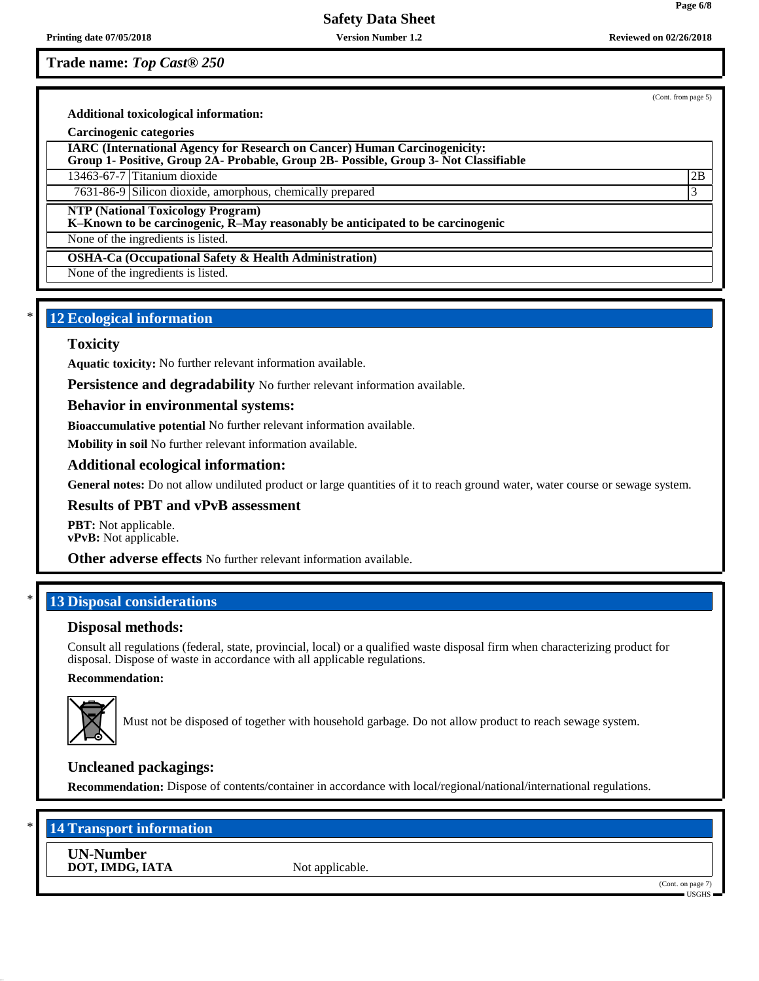**Trade name:** *Top Cast® 250*

(Cont. from page 5)

**Page 6/8**

**Additional toxicological information:**

#### **Carcinogenic categories**

**IARC (International Agency for Research on Cancer) Human Carcinogenicity:**

**Group 1- Positive, Group 2A- Probable, Group 2B- Possible, Group 3- Not Classifiable**

13463-67-7 Titanium dioxide 2B

7631-86-9 Silicon dioxide, amorphous, chemically prepared 3

**NTP (National Toxicology Program)**

**K–Known to be carcinogenic, R–May reasonably be anticipated to be carcinogenic**

None of the ingredients is listed.

**OSHA-Ca (Occupational Safety & Health Administration)**

None of the ingredients is listed.

# **12 Ecological information**

### **Toxicity**

**Aquatic toxicity:** No further relevant information available.

**Persistence and degradability** No further relevant information available.

**Behavior in environmental systems:**

**Bioaccumulative potential** No further relevant information available.

**Mobility in soil** No further relevant information available.

**Additional ecological information:**

**General notes:** Do not allow undiluted product or large quantities of it to reach ground water, water course or sewage system.

### **Results of PBT and vPvB assessment**

**PBT:** Not applicable. **vPvB:** Not applicable.

**Other adverse effects** No further relevant information available.

# **13 Disposal considerations**

### **Disposal methods:**

Consult all regulations (federal, state, provincial, local) or a qualified waste disposal firm when characterizing product for disposal. Dispose of waste in accordance with all applicable regulations.

### **Recommendation:**



Must not be disposed of together with household garbage. Do not allow product to reach sewage system.

# **Uncleaned packagings:**

**Recommendation:** Dispose of contents/container in accordance with local/regional/national/international regulations.

# **14 Transport information**

**UN-Number DOT, IMDG, IATA** Not applicable.

(Cont. on page 7)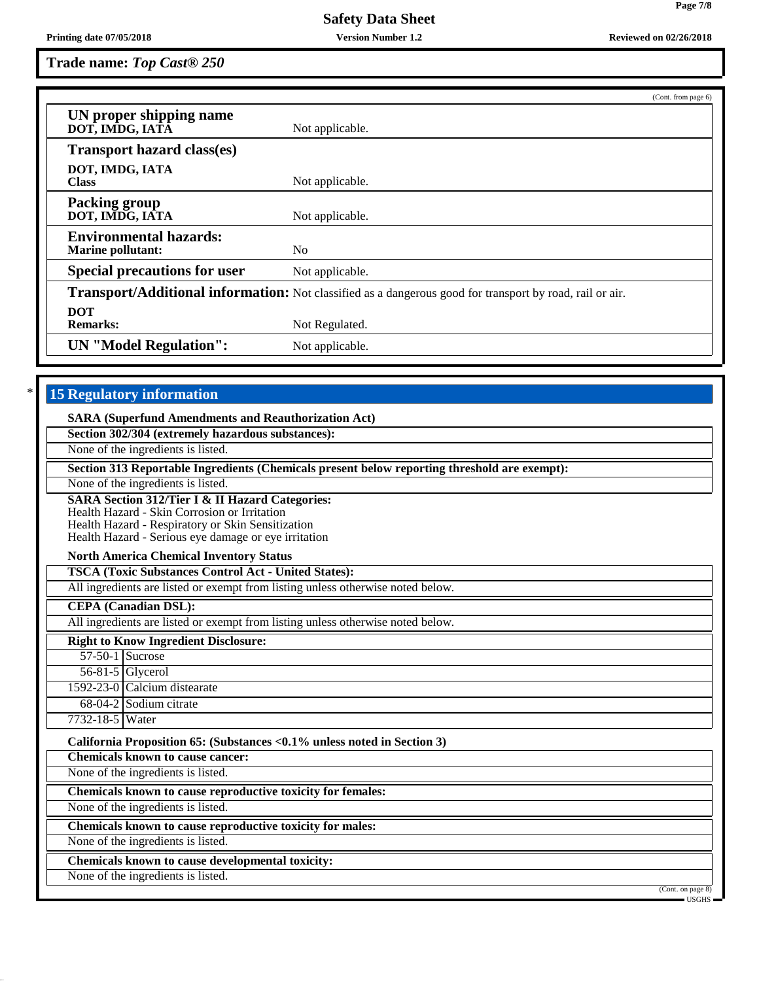**Trade name:** *Top Cast® 250*

|                                                                                                                | (Cont. from page 6)                                                                                      |
|----------------------------------------------------------------------------------------------------------------|----------------------------------------------------------------------------------------------------------|
| UN proper shipping name<br>DOT, IMDG, IATÂ                                                                     | Not applicable.                                                                                          |
| <b>Transport hazard class(es)</b>                                                                              |                                                                                                          |
|                                                                                                                |                                                                                                          |
| DOT, IMDG, IATA<br><b>Class</b>                                                                                | Not applicable.                                                                                          |
| <b>Packing group</b>                                                                                           |                                                                                                          |
| DOT, IMDG, IATA                                                                                                | Not applicable.                                                                                          |
| <b>Environmental hazards:</b>                                                                                  |                                                                                                          |
| <b>Marine pollutant:</b>                                                                                       | N <sub>0</sub>                                                                                           |
| <b>Special precautions for user</b>                                                                            | Not applicable.                                                                                          |
|                                                                                                                | Transport/Additional information: Not classified as a dangerous good for transport by road, rail or air. |
| <b>DOT</b>                                                                                                     |                                                                                                          |
| <b>Remarks:</b>                                                                                                | Not Regulated.                                                                                           |
| <b>UN</b> "Model Regulation":                                                                                  | Not applicable.                                                                                          |
|                                                                                                                |                                                                                                          |
| Section 302/304 (extremely hazardous substances):                                                              |                                                                                                          |
| None of the ingredients is listed.                                                                             |                                                                                                          |
|                                                                                                                | Section 313 Reportable Ingredients (Chemicals present below reporting threshold are exempt):             |
| None of the ingredients is listed.                                                                             |                                                                                                          |
| <b>SARA Section 312/Tier I &amp; II Hazard Categories:</b>                                                     |                                                                                                          |
| Health Hazard - Skin Corrosion or Irritation<br>Health Hazard - Respiratory or Skin Sensitization              |                                                                                                          |
| Health Hazard - Serious eye damage or eye irritation                                                           |                                                                                                          |
| <b>North America Chemical Inventory Status</b>                                                                 |                                                                                                          |
| <b>TSCA (Toxic Substances Control Act - United States):</b>                                                    |                                                                                                          |
| All ingredients are listed or exempt from listing unless otherwise noted below.                                |                                                                                                          |
| <b>CEPA</b> (Canadian DSL):<br>All ingredients are listed or exempt from listing unless otherwise noted below. |                                                                                                          |
|                                                                                                                |                                                                                                          |
| <b>Right to Know Ingredient Disclosure:</b><br>$57-50-1$ Sucrose                                               |                                                                                                          |
| 56-81-5 Glycerol                                                                                               |                                                                                                          |
| 1592-23-0 Calcium distearate                                                                                   |                                                                                                          |
| 68-04-2 Sodium citrate                                                                                         |                                                                                                          |
| 7732-18-5 Water                                                                                                |                                                                                                          |
| California Proposition 65: (Substances < 0.1% unless noted in Section 3)                                       |                                                                                                          |
| <b>Chemicals known to cause cancer:</b>                                                                        |                                                                                                          |
| None of the ingredients is listed.                                                                             |                                                                                                          |
| Chemicals known to cause reproductive toxicity for females:                                                    |                                                                                                          |
| None of the ingredients is listed.                                                                             |                                                                                                          |
| Chemicals known to cause reproductive toxicity for males:                                                      |                                                                                                          |

None of the ingredients is listed.

**Chemicals known to cause developmental toxicity:**

None of the ingredients is listed.

USGHS